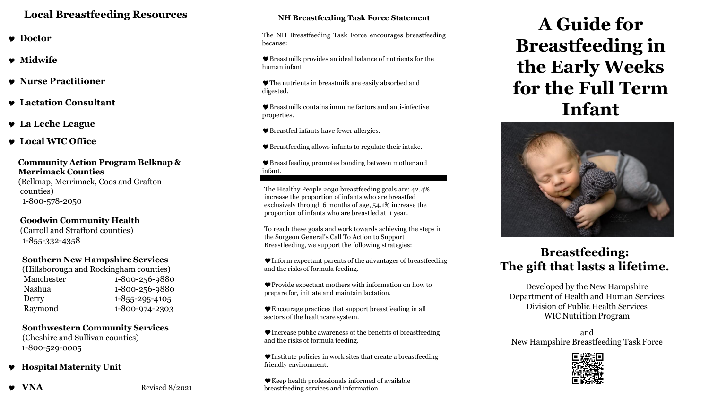### **Local Breastfeeding Resources**

- **Doctor**
- **Midwife**
- **Nurse Practitioner**
- **Lactation Consultant**
- **La Leche League**
- **Local WIC Office**

#### **Community Action Program Belknap & Merrimack Counties**

(Belknap, Merrimack, Coos and Grafton counties) 1-800-578-2050

**Goodwin Community Health**  (Carroll and Strafford counties) 1-855-332-4358

### **Southern New Hampshire Services**

| (Hillsborough and Rockingham counties) |  |
|----------------------------------------|--|
| 1-800-256-9880                         |  |
| 1-800-256-9880                         |  |
| $1 - 855 - 295 - 4105$                 |  |
| 1-800-974-2303                         |  |
|                                        |  |

**Southwestern Community Services** (Cheshire and Sullivan counties) 1-800-529-0005

### **Hospital Maternity Unit**

**VNA** Revised 8/2021

### **NH Breastfeeding Task Force Statement**

The NH Breastfeeding Task Force encourages breastfeeding because:

Breastmilk provides an ideal balance of nutrients for the human infant.

The nutrients in breastmilk are easily absorbed and digested.

Breastmilk contains immune factors and anti-infective properties.

Breastfed infants have fewer allergies.

Breastfeeding allows infants to regulate their intake.

Breastfeeding promotes bonding between mother and infant.

The Healthy People 2030 breastfeeding goals are: 42.4% increase the proportion of infants who are breastfed exclusively through 6 months of age, 54.1% increase the proportion of infants who are breastfed at 1 year.

To reach these goals and work towards achieving the steps in the Surgeon General's Call To Action to Support Breastfeeding, we support the following strategies:

Inform expectant parents of the advantages of breastfeeding and the risks of formula feeding.

Provide expectant mothers with information on how to prepare for, initiate and maintain lactation.

Encourage practices that support breastfeeding in all sectors of the healthcare system.

 $\blacktriangleright$  Increase public awareness of the benefits of breastfeeding and the risks of formula feeding.

 $\blacktriangleright$  Institute policies in work sites that create a breastfeeding friendly environment.

Keep health professionals informed of available breastfeeding services and information.

# **A Guide for Breastfeeding in the Early Weeks for the Full Term Infant**



## **Breastfeeding: The gift that lasts a lifetime.**

Developed by the New Hampshire Department of Health and Human Services Division of Public Health Services WIC Nutrition Program

and New Hampshire Breastfeeding Task Force